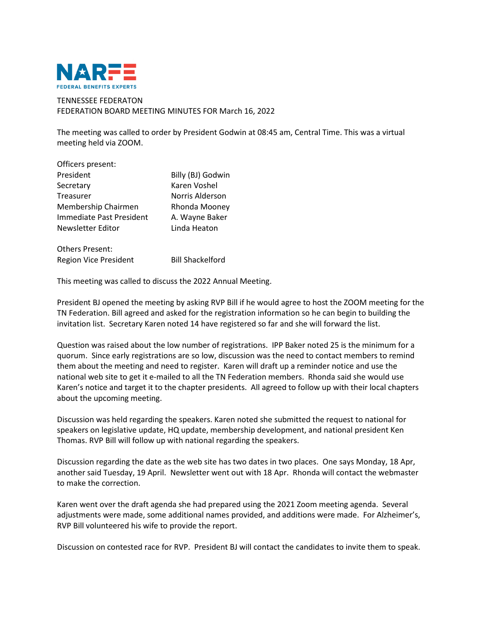

## TENNESSEE FEDERATON FEDERATION BOARD MEETING MINUTES FOR March 16, 2022

The meeting was called to order by President Godwin at 08:45 am, Central Time. This was a virtual meeting held via ZOOM.

| Officers present:        |                   |
|--------------------------|-------------------|
| President                | Billy (BJ) Godwin |
| Secretary                | Karen Voshel      |
| Treasurer                | Norris Alderson   |
| Membership Chairmen      | Rhonda Mooney     |
| Immediate Past President | A. Wayne Baker    |
| Newsletter Editor        | Linda Heaton      |
|                          |                   |
| Others Present:          |                   |

Region Vice President Bill Shackelford

This meeting was called to discuss the 2022 Annual Meeting.

President BJ opened the meeting by asking RVP Bill if he would agree to host the ZOOM meeting for the TN Federation. Bill agreed and asked for the registration information so he can begin to building the invitation list. Secretary Karen noted 14 have registered so far and she will forward the list.

Question was raised about the low number of registrations. IPP Baker noted 25 is the minimum for a quorum. Since early registrations are so low, discussion was the need to contact members to remind them about the meeting and need to register. Karen will draft up a reminder notice and use the national web site to get it e-mailed to all the TN Federation members. Rhonda said she would use Karen's notice and target it to the chapter presidents. All agreed to follow up with their local chapters about the upcoming meeting.

Discussion was held regarding the speakers. Karen noted she submitted the request to national for speakers on legislative update, HQ update, membership development, and national president Ken Thomas. RVP Bill will follow up with national regarding the speakers.

Discussion regarding the date as the web site has two dates in two places. One says Monday, 18 Apr, another said Tuesday, 19 April. Newsletter went out with 18 Apr. Rhonda will contact the webmaster to make the correction.

Karen went over the draft agenda she had prepared using the 2021 Zoom meeting agenda. Several adjustments were made, some additional names provided, and additions were made. For Alzheimer's, RVP Bill volunteered his wife to provide the report.

Discussion on contested race for RVP. President BJ will contact the candidates to invite them to speak.